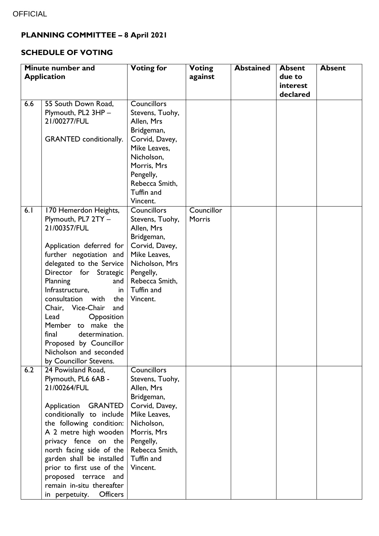## **PLANNING COMMITTEE – 8 April 2021**

## **SCHEDULE OF VOTING**

|                    | Minute number and                                                                                                                                                                                                                                                                                                                                                                                                                        | <b>Voting for</b>                                                                                                                                                                         | <b>Voting</b>        | <b>Abstained</b> | <b>Absent</b> | <b>Absent</b> |
|--------------------|------------------------------------------------------------------------------------------------------------------------------------------------------------------------------------------------------------------------------------------------------------------------------------------------------------------------------------------------------------------------------------------------------------------------------------------|-------------------------------------------------------------------------------------------------------------------------------------------------------------------------------------------|----------------------|------------------|---------------|---------------|
| <b>Application</b> |                                                                                                                                                                                                                                                                                                                                                                                                                                          |                                                                                                                                                                                           | against              |                  | due to        |               |
|                    |                                                                                                                                                                                                                                                                                                                                                                                                                                          |                                                                                                                                                                                           |                      |                  | interest      |               |
|                    |                                                                                                                                                                                                                                                                                                                                                                                                                                          |                                                                                                                                                                                           |                      |                  | declared      |               |
| 6.6                | 55 South Down Road,<br>Plymouth, PL2 3HP -<br>21/00277/FUL<br>GRANTED conditionally.                                                                                                                                                                                                                                                                                                                                                     | <b>Councillors</b><br>Stevens, Tuohy,<br>Allen, Mrs<br>Bridgeman,<br>Corvid, Davey,<br>Mike Leaves,<br>Nicholson,<br>Morris, Mrs<br>Pengelly,<br>Rebecca Smith,<br>Tuffin and<br>Vincent. |                      |                  |               |               |
| 6.1                | 170 Hemerdon Heights,<br>Plymouth, PL7 2TY -<br>21/00357/FUL<br>Application deferred for<br>further negotiation and<br>delegated to the Service<br>Director for Strategic<br>Planning<br>and<br>Infrastructure,<br>in<br>consultation<br>with<br>the<br>Chair, Vice-Chair<br>and<br>Lead<br>Opposition<br>to make the<br>Member<br>final<br>determination.<br>Proposed by Councillor<br>Nicholson and seconded<br>by Councillor Stevens. | <b>Councillors</b><br>Stevens, Tuohy,<br>Allen, Mrs<br>Bridgeman,<br>Corvid, Davey,<br>Mike Leaves,<br>Nicholson, Mrs<br>Pengelly,<br>Rebecca Smith,<br>Tuffin and<br>Vincent.            | Councillor<br>Morris |                  |               |               |
| 6.2                | 24 Powisland Road,<br>Plymouth, PL6 6AB -<br>21/00264/FUL<br>Application GRANTED<br>conditionally to include<br>the following condition:<br>A 2 metre high wooden<br>privacy fence on the<br>north facing side of the<br>garden shall be installed<br>prior to first use of the<br>proposed terrace<br>and<br>remain in-situ thereafter<br><b>Officers</b><br>in perpetuity.                                                             | <b>Councillors</b><br>Stevens, Tuohy,<br>Allen, Mrs<br>Bridgeman,<br>Corvid, Davey,<br>Mike Leaves,<br>Nicholson,<br>Morris, Mrs<br>Pengelly,<br>Rebecca Smith,<br>Tuffin and<br>Vincent. |                      |                  |               |               |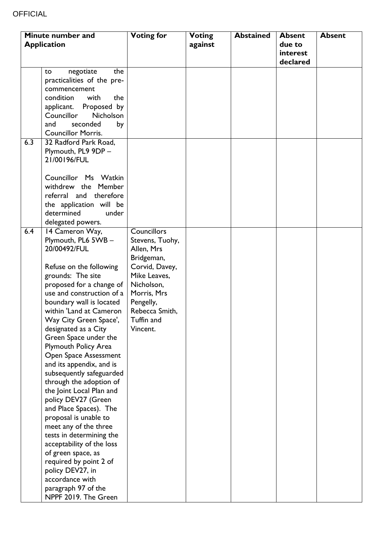| Minute number and  |                             | <b>Voting for</b>  | <b>Voting</b> | <b>Abstained</b> | <b>Absent</b> | <b>Absent</b> |
|--------------------|-----------------------------|--------------------|---------------|------------------|---------------|---------------|
| <b>Application</b> |                             |                    | against       |                  | due to        |               |
|                    |                             |                    |               |                  | interest      |               |
|                    |                             |                    |               |                  | declared      |               |
|                    | negotiate<br>the<br>to      |                    |               |                  |               |               |
|                    | practicalities of the pre-  |                    |               |                  |               |               |
|                    | commencement                |                    |               |                  |               |               |
|                    | condition<br>with<br>the    |                    |               |                  |               |               |
|                    | Proposed by<br>applicant.   |                    |               |                  |               |               |
|                    | Councillor<br>Nicholson     |                    |               |                  |               |               |
|                    | and<br>seconded<br>by       |                    |               |                  |               |               |
|                    | <b>Councillor Morris.</b>   |                    |               |                  |               |               |
| 6.3                | 32 Radford Park Road,       |                    |               |                  |               |               |
|                    | Plymouth, PL9 9DP -         |                    |               |                  |               |               |
|                    | 21/00196/FUL                |                    |               |                  |               |               |
|                    |                             |                    |               |                  |               |               |
|                    | Councillor Ms Watkin        |                    |               |                  |               |               |
|                    | withdrew the Member         |                    |               |                  |               |               |
|                    | referral and therefore      |                    |               |                  |               |               |
|                    | the application will be     |                    |               |                  |               |               |
|                    | determined<br>under         |                    |               |                  |               |               |
|                    | delegated powers.           |                    |               |                  |               |               |
| 6.4                | 14 Cameron Way,             | <b>Councillors</b> |               |                  |               |               |
|                    | Plymouth, PL6 5WB -         | Stevens, Tuohy,    |               |                  |               |               |
|                    | 20/00492/FUL                | Allen, Mrs         |               |                  |               |               |
|                    |                             | Bridgeman,         |               |                  |               |               |
|                    | Refuse on the following     | Corvid, Davey,     |               |                  |               |               |
|                    | grounds: The site           | Mike Leaves,       |               |                  |               |               |
|                    | proposed for a change of    | Nicholson,         |               |                  |               |               |
|                    | use and construction of a   | Morris, Mrs        |               |                  |               |               |
|                    | boundary wall is located    | Pengelly,          |               |                  |               |               |
|                    | within 'Land at Cameron     | Rebecca Smith,     |               |                  |               |               |
|                    | Way City Green Space',      | Tuffin and         |               |                  |               |               |
|                    | designated as a City        | Vincent.           |               |                  |               |               |
|                    | Green Space under the       |                    |               |                  |               |               |
|                    | <b>Plymouth Policy Area</b> |                    |               |                  |               |               |
|                    | Open Space Assessment       |                    |               |                  |               |               |
|                    | and its appendix, and is    |                    |               |                  |               |               |
|                    | subsequently safeguarded    |                    |               |                  |               |               |
|                    | through the adoption of     |                    |               |                  |               |               |
|                    | the Joint Local Plan and    |                    |               |                  |               |               |
|                    | policy DEV27 (Green         |                    |               |                  |               |               |
|                    | and Place Spaces). The      |                    |               |                  |               |               |
|                    | proposal is unable to       |                    |               |                  |               |               |
|                    | meet any of the three       |                    |               |                  |               |               |
|                    | tests in determining the    |                    |               |                  |               |               |
|                    | acceptability of the loss   |                    |               |                  |               |               |
|                    | of green space, as          |                    |               |                  |               |               |
|                    | required by point 2 of      |                    |               |                  |               |               |
|                    | policy DEV27, in            |                    |               |                  |               |               |
|                    | accordance with             |                    |               |                  |               |               |
|                    | paragraph 97 of the         |                    |               |                  |               |               |
|                    | NPPF 2019. The Green        |                    |               |                  |               |               |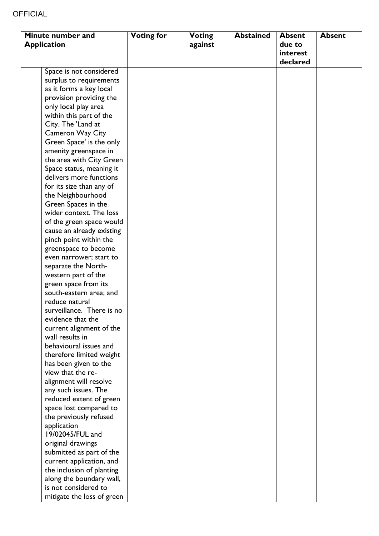| Minute number and  |                            | <b>Voting for</b> | <b>Voting</b> | <b>Abstained</b> | <b>Absent</b> | <b>Absent</b> |
|--------------------|----------------------------|-------------------|---------------|------------------|---------------|---------------|
| <b>Application</b> |                            |                   | against       |                  | due to        |               |
|                    |                            |                   |               |                  | interest      |               |
|                    |                            |                   |               |                  | declared      |               |
|                    | Space is not considered    |                   |               |                  |               |               |
|                    | surplus to requirements    |                   |               |                  |               |               |
|                    | as it forms a key local    |                   |               |                  |               |               |
|                    | provision providing the    |                   |               |                  |               |               |
|                    | only local play area       |                   |               |                  |               |               |
|                    | within this part of the    |                   |               |                  |               |               |
|                    | City. The 'Land at         |                   |               |                  |               |               |
|                    | Cameron Way City           |                   |               |                  |               |               |
|                    | Green Space' is the only   |                   |               |                  |               |               |
|                    | amenity greenspace in      |                   |               |                  |               |               |
|                    | the area with City Green   |                   |               |                  |               |               |
|                    | Space status, meaning it   |                   |               |                  |               |               |
|                    | delivers more functions    |                   |               |                  |               |               |
|                    | for its size than any of   |                   |               |                  |               |               |
|                    | the Neighbourhood          |                   |               |                  |               |               |
|                    | Green Spaces in the        |                   |               |                  |               |               |
|                    | wider context. The loss    |                   |               |                  |               |               |
|                    | of the green space would   |                   |               |                  |               |               |
|                    | cause an already existing  |                   |               |                  |               |               |
|                    | pinch point within the     |                   |               |                  |               |               |
|                    | greenspace to become       |                   |               |                  |               |               |
|                    | even narrower; start to    |                   |               |                  |               |               |
|                    | separate the North-        |                   |               |                  |               |               |
|                    | western part of the        |                   |               |                  |               |               |
|                    | green space from its       |                   |               |                  |               |               |
|                    | south-eastern area; and    |                   |               |                  |               |               |
|                    | reduce natural             |                   |               |                  |               |               |
|                    | surveillance. There is no  |                   |               |                  |               |               |
|                    | evidence that the          |                   |               |                  |               |               |
|                    | current alignment of the   |                   |               |                  |               |               |
|                    | wall results in            |                   |               |                  |               |               |
|                    | behavioural issues and     |                   |               |                  |               |               |
|                    | therefore limited weight   |                   |               |                  |               |               |
|                    | has been given to the      |                   |               |                  |               |               |
|                    | view that the re-          |                   |               |                  |               |               |
|                    | alignment will resolve     |                   |               |                  |               |               |
|                    | any such issues. The       |                   |               |                  |               |               |
|                    | reduced extent of green    |                   |               |                  |               |               |
|                    | space lost compared to     |                   |               |                  |               |               |
|                    | the previously refused     |                   |               |                  |               |               |
|                    | application                |                   |               |                  |               |               |
|                    | 19/02045/FUL and           |                   |               |                  |               |               |
|                    | original drawings          |                   |               |                  |               |               |
|                    | submitted as part of the   |                   |               |                  |               |               |
|                    | current application, and   |                   |               |                  |               |               |
|                    | the inclusion of planting  |                   |               |                  |               |               |
|                    | along the boundary wall,   |                   |               |                  |               |               |
|                    | is not considered to       |                   |               |                  |               |               |
|                    | mitigate the loss of green |                   |               |                  |               |               |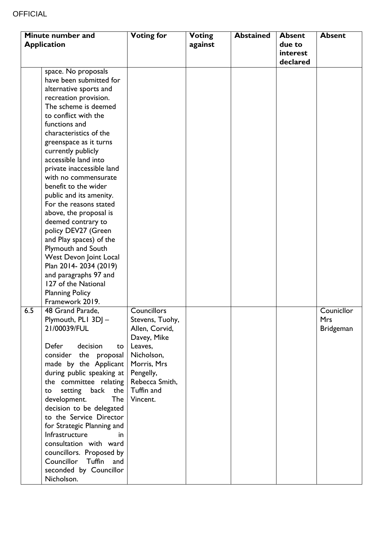| Minute number and  |                                                                                                                                                                                                                                                                                                                                                                                                                                                                                                                                                                                                                                                                                | <b>Voting for</b>                                                                                                                                                       | <b>Voting</b> | <b>Abstained</b> | <b>Absent</b>                  | <b>Absent</b>                                |
|--------------------|--------------------------------------------------------------------------------------------------------------------------------------------------------------------------------------------------------------------------------------------------------------------------------------------------------------------------------------------------------------------------------------------------------------------------------------------------------------------------------------------------------------------------------------------------------------------------------------------------------------------------------------------------------------------------------|-------------------------------------------------------------------------------------------------------------------------------------------------------------------------|---------------|------------------|--------------------------------|----------------------------------------------|
| <b>Application</b> |                                                                                                                                                                                                                                                                                                                                                                                                                                                                                                                                                                                                                                                                                |                                                                                                                                                                         | against       |                  | due to<br>interest<br>declared |                                              |
|                    | space. No proposals<br>have been submitted for<br>alternative sports and<br>recreation provision.<br>The scheme is deemed<br>to conflict with the<br>functions and<br>characteristics of the<br>greenspace as it turns<br>currently publicly<br>accessible land into<br>private inaccessible land<br>with no commensurate<br>benefit to the wider<br>public and its amenity.<br>For the reasons stated<br>above, the proposal is<br>deemed contrary to<br>policy DEV27 (Green<br>and Play spaces) of the<br>Plymouth and South<br>West Devon Joint Local<br>Plan 2014-2034 (2019)<br>and paragraphs 97 and<br>127 of the National<br><b>Planning Policy</b><br>Framework 2019. |                                                                                                                                                                         |               |                  |                                |                                              |
| 6.5                | 48 Grand Parade,<br>Plymouth, PLI 3DJ-<br>21/00039/FUL<br>Defer<br>decision<br>to<br>the<br>consider<br>proposal<br>made by the Applicant<br>during public speaking at<br>the committee relating<br>setting back<br>the<br>to<br><b>The</b><br>development.<br>decision to be delegated<br>to the Service Director<br>for Strategic Planning and<br>Infrastructure<br>in<br>consultation with ward<br>councillors. Proposed by<br>Councillor<br>Tuffin<br>and<br>seconded by Councillor<br>Nicholson.                                                                                                                                                                          | <b>Councillors</b><br>Stevens, Tuohy,<br>Allen, Corvid,<br>Davey, Mike<br>Leaves,<br>Nicholson,<br>Morris, Mrs<br>Pengelly,<br>Rebecca Smith,<br>Tuffin and<br>Vincent. |               |                  |                                | Counicllor<br><b>Mrs</b><br><b>Bridgeman</b> |